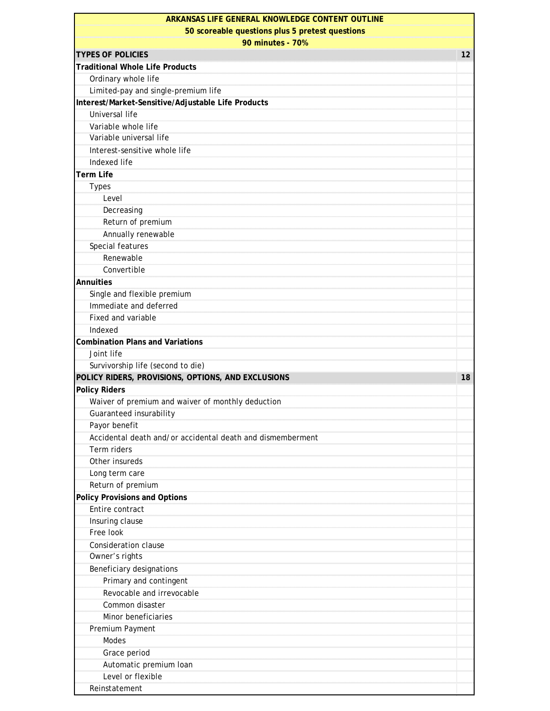| ARKANSAS LIFE GENERAL KNOWLEDGE CONTENT OUTLINE                     |    |
|---------------------------------------------------------------------|----|
| 50 scoreable questions plus 5 pretest questions<br>90 minutes - 70% |    |
|                                                                     |    |
| <b>Traditional Whole Life Products</b>                              |    |
| Ordinary whole life                                                 |    |
| Limited-pay and single-premium life                                 |    |
| Interest/Market-Sensitive/Adjustable Life Products                  |    |
| Universal life                                                      |    |
| Variable whole life                                                 |    |
| Variable universal life                                             |    |
| Interest-sensitive whole life                                       |    |
| Indexed life                                                        |    |
| <b>Term Life</b>                                                    |    |
| <b>Types</b>                                                        |    |
| Level                                                               |    |
| Decreasing                                                          |    |
| Return of premium                                                   |    |
| Annually renewable                                                  |    |
| Special features                                                    |    |
| Renewable                                                           |    |
| Convertible                                                         |    |
| <b>Annuities</b>                                                    |    |
| Single and flexible premium                                         |    |
| Immediate and deferred                                              |    |
| Fixed and variable                                                  |    |
| Indexed                                                             |    |
| <b>Combination Plans and Variations</b>                             |    |
| Joint life                                                          |    |
| Survivorship life (second to die)                                   |    |
|                                                                     |    |
| POLICY RIDERS, PROVISIONS, OPTIONS, AND EXCLUSIONS                  | 18 |
| <b>Policy Riders</b>                                                |    |
| Waiver of premium and waiver of monthly deduction                   |    |
| Guaranteed insurability                                             |    |
| Payor benefit                                                       |    |
| Accidental death and/or accidental death and dismemberment          |    |
| Term riders                                                         |    |
| Other insureds                                                      |    |
| Long term care                                                      |    |
| Return of premium                                                   |    |
| <b>Policy Provisions and Options</b>                                |    |
| Entire contract                                                     |    |
| Insuring clause                                                     |    |
| Free look                                                           |    |
| <b>Consideration clause</b>                                         |    |
| Owner's rights                                                      |    |
| Beneficiary designations                                            |    |
| Primary and contingent                                              |    |
| Revocable and irrevocable                                           |    |
| Common disaster                                                     |    |
| Minor beneficiaries                                                 |    |
| Premium Payment                                                     |    |
| Modes                                                               |    |
| Grace period                                                        |    |
| Automatic premium Ioan                                              |    |
| Level or flexible                                                   |    |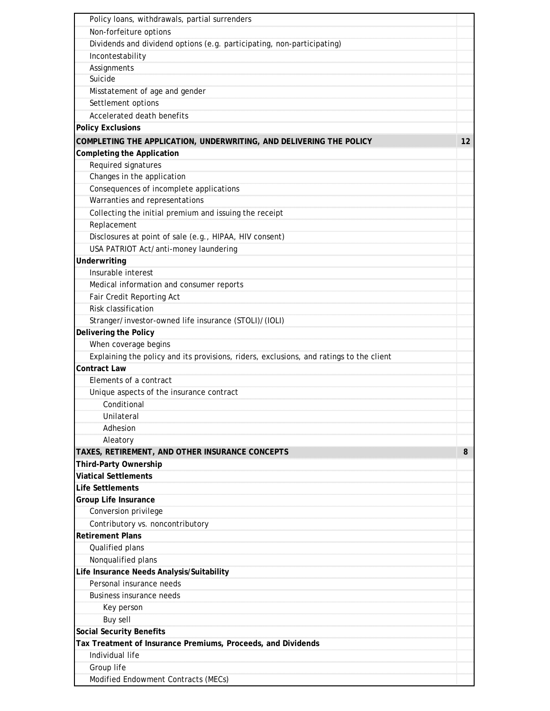| Policy loans, withdrawals, partial surrenders                                           |    |
|-----------------------------------------------------------------------------------------|----|
| Non-forfeiture options                                                                  |    |
| Dividends and dividend options (e.g. participating, non-participating)                  |    |
| Incontestability                                                                        |    |
| Assignments                                                                             |    |
| Suicide                                                                                 |    |
| Misstatement of age and gender                                                          |    |
| Settlement options                                                                      |    |
| Accelerated death benefits                                                              |    |
| <b>Policy Exclusions</b>                                                                |    |
| COMPLETING THE APPLICATION, UNDERWRITING, AND DELIVERING THE POLICY                     | 12 |
| <b>Completing the Application</b>                                                       |    |
| Required signatures                                                                     |    |
| Changes in the application                                                              |    |
| Consequences of incomplete applications                                                 |    |
| Warranties and representations                                                          |    |
| Collecting the initial premium and issuing the receipt                                  |    |
| Replacement                                                                             |    |
| Disclosures at point of sale (e.g., HIPAA, HIV consent)                                 |    |
| USA PATRIOT Act/anti-money laundering                                                   |    |
| Underwriting                                                                            |    |
| Insurable interest                                                                      |    |
| Medical information and consumer reports                                                |    |
| Fair Credit Reporting Act                                                               |    |
| Risk classification                                                                     |    |
| Stranger/investor-owned life insurance (STOLI)/(IOLI)                                   |    |
| Delivering the Policy                                                                   |    |
| When coverage begins                                                                    |    |
| Explaining the policy and its provisions, riders, exclusions, and ratings to the client |    |
| <b>Contract Law</b>                                                                     |    |
| Elements of a contract                                                                  |    |
| Unique aspects of the insurance contract                                                |    |
| Conditional                                                                             |    |
| <b>Unilateral</b>                                                                       |    |
| Adhesion                                                                                |    |
| Aleatory                                                                                |    |
| TAXES, RETIREMENT, AND OTHER INSURANCE CONCEPTS                                         | 8  |
| Third-Party Ownership                                                                   |    |
| <b>Viatical Settlements</b>                                                             |    |
| <b>Life Settlements</b>                                                                 |    |
| <b>Group Life Insurance</b>                                                             |    |
| Conversion privilege                                                                    |    |
| Contributory vs. noncontributory                                                        |    |
| <b>Retirement Plans</b>                                                                 |    |
| Qualified plans                                                                         |    |
| Nonqualified plans                                                                      |    |
| Life Insurance Needs Analysis/Suitability                                               |    |
| Personal insurance needs                                                                |    |
| <b>Business insurance needs</b>                                                         |    |
| Key person                                                                              |    |
| <b>Buy sell</b>                                                                         |    |
| <b>Social Security Benefits</b>                                                         |    |
| Tax Treatment of Insurance Premiums, Proceeds, and Dividends                            |    |
| Individual life                                                                         |    |
| Group life                                                                              |    |
| Modified Endowment Contracts (MECs)                                                     |    |
|                                                                                         |    |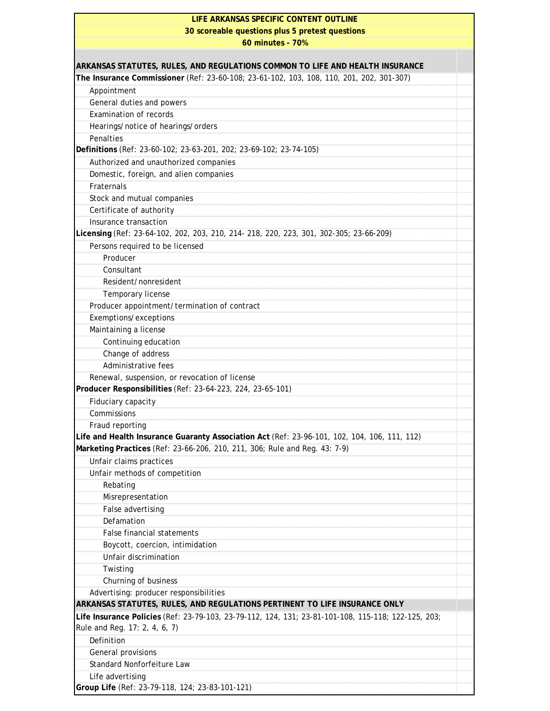| LIFE ARKANSAS SPECIFIC CONTENT OUTLINE                                                              |  |
|-----------------------------------------------------------------------------------------------------|--|
| 30 scoreable questions plus 5 pretest questions                                                     |  |
| 60 minutes - 70%                                                                                    |  |
| ARKANSAS STATUTES, RULES, AND REGULATIONS COMMON TO LIFE AND HEALTH INSURANCE                       |  |
| The Insurance Commissioner (Ref: 23-60-108; 23-61-102, 103, 108, 110, 201, 202, 301-307)            |  |
| Appointment                                                                                         |  |
| General duties and powers                                                                           |  |
| <b>Examination of records</b>                                                                       |  |
| Hearings/notice of hearings/orders                                                                  |  |
| Penalties                                                                                           |  |
| Definitions (Ref: 23-60-102; 23-63-201, 202; 23-69-102; 23-74-105)                                  |  |
| Authorized and unauthorized companies                                                               |  |
| Domestic, foreign, and alien companies                                                              |  |
| Fraternals                                                                                          |  |
| Stock and mutual companies                                                                          |  |
| Certificate of authority                                                                            |  |
| Insurance transaction                                                                               |  |
| Licensing (Ref: 23-64-102, 202, 203, 210, 214- 218, 220, 223, 301, 302-305; 23-66-209)              |  |
| Persons required to be licensed                                                                     |  |
| Producer                                                                                            |  |
| Consultant                                                                                          |  |
| Resident/nonresident                                                                                |  |
| Temporary license                                                                                   |  |
| Producer appointment/termination of contract                                                        |  |
| Exemptions/exceptions                                                                               |  |
| Maintaining a license                                                                               |  |
| Continuing education                                                                                |  |
| Change of address                                                                                   |  |
| Administrative fees                                                                                 |  |
| Renewal, suspension, or revocation of license                                                       |  |
| Producer Responsibilities (Ref: 23-64-223, 224, 23-65-101)                                          |  |
| <b>Fiduciary capacity</b>                                                                           |  |
| Commissions                                                                                         |  |
| Fraud reporting                                                                                     |  |
| Life and Health Insurance Guaranty Association Act (Ref: 23-96-101, 102, 104, 106, 111, 112)        |  |
| Marketing Practices (Ref: 23-66-206, 210, 211, 306; Rule and Reg. 43: 7-9)                          |  |
| Unfair claims practices                                                                             |  |
| Unfair methods of competition                                                                       |  |
| Rebating                                                                                            |  |
| Misrepresentation                                                                                   |  |
| False advertising<br>Defamation                                                                     |  |
| <b>False financial statements</b>                                                                   |  |
|                                                                                                     |  |
| Boycott, coercion, intimidation<br>Unfair discrimination                                            |  |
| Twisting                                                                                            |  |
| Churning of business                                                                                |  |
| Advertising: producer responsibilities                                                              |  |
| ARKANSAS STATUTES, RULES, AND REGULATIONS PERTINENT TO LIFE INSURANCE ONLY                          |  |
| Life Insurance Policies (Ref: 23-79-103, 23-79-112, 124, 131; 23-81-101-108, 115-118; 122-125, 203; |  |
| Rule and Reg. 17: 2, 4, 6, 7)                                                                       |  |
| Definition                                                                                          |  |
| General provisions                                                                                  |  |
| Standard Nonforfeiture Law                                                                          |  |
| Life advertising                                                                                    |  |
| Group Life (Ref: 23-79-118, 124; 23-83-101-121)                                                     |  |